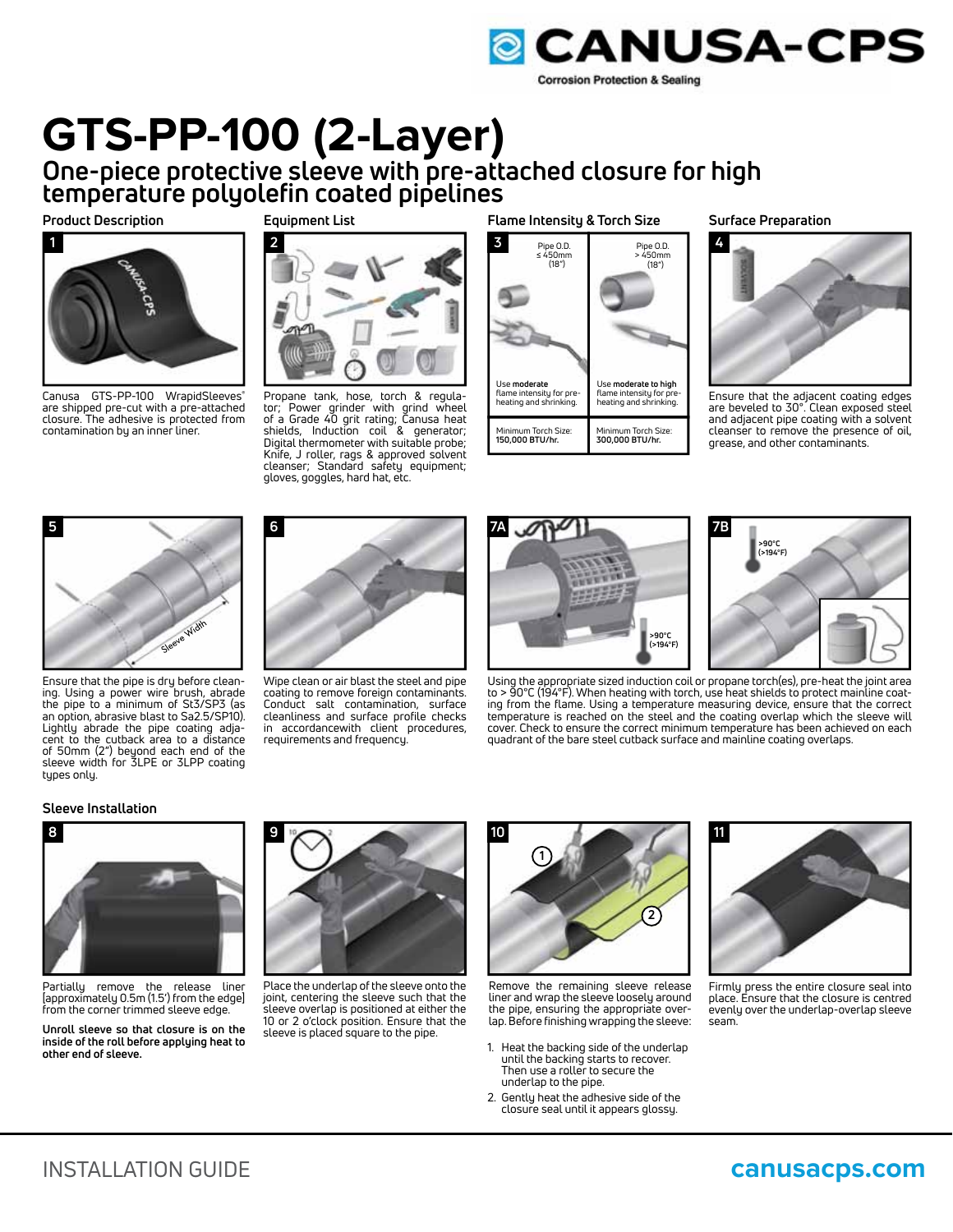

# **GTS-PP-100 (2-Layer) One-piece protective sleeve with pre-attached closure for high**

**temperature polyolefin coated pipelines**

# **Product Description**



Canusa GTS-PP-100 WrapidSleeves<sup>®</sup> are shipped pre-cut with a pre-attached closure. The adhesive is protected from contamination by an inner liner.

**Equipment List**



Propane tank, hose, torch & regula-tor; Power grinder with grind wheel of a Grade 40 grit rating; Canusa heat shields, Induction coil & generator; Digital thermometer with suitable probe; Knife, J roller, rags & approved solvent cleanser; Standard safety equipment; gloves, goggles, hard hat, etc.

**Flame Intensity & Torch Size**



**Surface Preparation**



Ensure that the adjacent coating edges are beveled to 30°. Clean exposed steel and adjacent pipe coating with a solvent cleanser to remove the presence of oil, grease, and other contaminants.



Ensure that the pipe is dry before cleaning. Using a power wire brush, abrade the pipe to a minimum of St3/SP3 (as an option, abrasive blast to Sa2.5/SP10). Lightly abrade the pipe coating adjacent to the cutback area to a distance of 50mm (2") beyond each end of the sleeve width for 3LPE or 3LPP coating types only.



Wipe clean or air blast the steel and pipe coating to remove foreign contaminants. Conduct salt contamination, surface cleanliness and surface profile checks in accordancewith client procedures, requirements and frequency.





Using the appropriate sized induction coil or propane torch(es), pre-heat the joint area to > 90°C (194°F). When heating with torch, use heat shields to protect mainline coating from the flame. Using a temperature measuring device, ensure that the correct temperature is reached on the steel and the coating overlap which the sleeve will cover. Check to ensure the correct minimum temperature has been achieved on each quadrant of the bare steel cutback surface and mainline coating overlaps.

# **Sleeve Installation**



Partially remove the release liner [approximately 0.5m (1.5') from the edge] from the corner trimmed sleeve edge.

**Unroll sleeve so that closure is on the inside of the roll before applying heat to other end of sleeve.**



Place the underlap of the sleeve onto the joint, centering the sleeve such that the sleeve overlap is positioned at either the 10 or 2 o'clock position. Ensure that the sleeve is placed square to the pipe.



Remove the remaining sleeve release liner and wrap the sleeve loosely around the pipe, ensuring the appropriate overlap. Before finishing wrapping the sleeve:

- 1. Heat the backing side of the underlap until the backing starts to recover. Then use a roller to secure the underlap to the pipe.
- 2. Gently heat the adhesive side of the closure seal until it appears glossy.



Firmly press the entire closure seal into place. Ensure that the closure is centred evenly over the underlap-overlap sleeve seam.